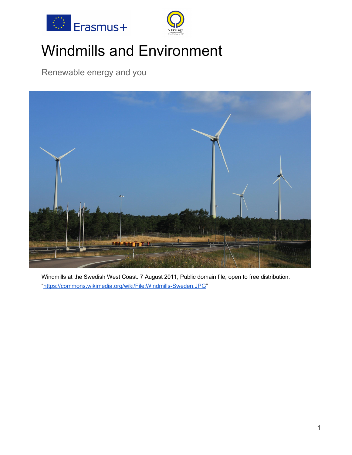



# Windmills and Environment

Renewable energy and you



Windmills at the Swedish West Coast. 7 August 2011, Public domain file, open to free distribution. "https://commons.wikimedia.org/wiki/File:Windmills-Sweden.JPG"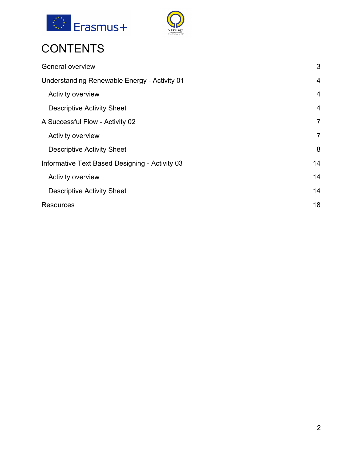



## **CONTENTS**

| General overview                               | 3              |
|------------------------------------------------|----------------|
| Understanding Renewable Energy - Activity 01   | 4              |
| <b>Activity overview</b>                       | 4              |
| <b>Descriptive Activity Sheet</b>              | 4              |
| A Successful Flow - Activity 02                | $\overline{7}$ |
| <b>Activity overview</b>                       | $\overline{7}$ |
| <b>Descriptive Activity Sheet</b>              | 8              |
| Informative Text Based Designing - Activity 03 | 14             |
| Activity overview                              | 14             |
| <b>Descriptive Activity Sheet</b>              | 14             |
| <b>Resources</b>                               | 18             |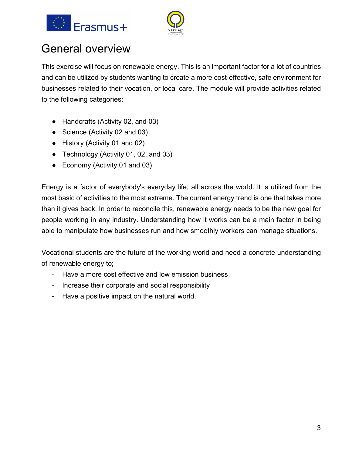



## General overview

This exercise will focus on renewable energy. This is an important factor for a lot of countries and can be utilized by students wanting to create a more cost-effective, safe environment for businesses related to their vocation, or local care. The module will provide activities related to the following categories:

- Handcrafts (Activity 02, and 03)
- Science (Activity 02 and 03)
- History (Activity 01 and 02)
- Technology (Activity 01, 02, and 03)
- Economy (Activity 01 and 03)

Energy is a factor of everybody's everyday life, all across the world. It is utilized from the most basic of activities to the most extreme. The current energy trend is one that takes more than it gives back. In order to reconcile this, renewable energy needs to be the new goal for people working in any industry. Understanding how it works can be a main factor in being able to manipulate how businesses run and how smoothly workers can manage situations.

Vocational students are the future of the working world and need a concrete understanding of renewable energy to;

- Have a more cost effective and low emission business
- Increase their corporate and social responsibility
- Have a positive impact on the natural world.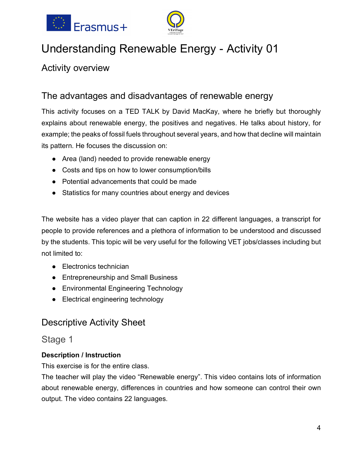



## Understanding Renewable Energy - Activity 01

Activity overview

### The advantages and disadvantages of renewable energy

This activity focuses on a TED TALK by David MacKay, where he briefly but thoroughly explains about renewable energy, the positives and negatives. He talks about history, for example; the peaks of fossil fuels throughout several years, and how that decline will maintain its pattern. He focuses the discussion on:

- Area (land) needed to provide renewable energy
- Costs and tips on how to lower consumption/bills
- Potential advancements that could be made
- Statistics for many countries about energy and devices

The website has a video player that can caption in 22 different languages, a transcript for people to provide references and a plethora of information to be understood and discussed by the students. This topic will be very useful for the following VET jobs/classes including but not limited to:

- Electronics technician
- Entrepreneurship and Small Business
- Environmental Engineering Technology
- Electrical engineering technology

### Descriptive Activity Sheet

### Stage 1

### **Description / Instruction**

This exercise is for the entire class.

The teacher will play the video "Renewable energy". This video contains lots of information about renewable energy, differences in countries and how someone can control their own output. The video contains 22 languages.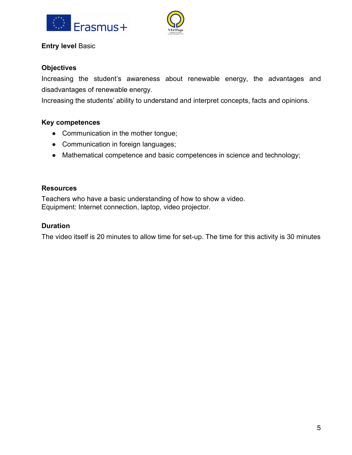



**Entry level** Basic

#### **Objectives**

Increasing the student's awareness about renewable energy, the advantages and disadvantages of renewable energy.

Increasing the students' ability to understand and interpret concepts, facts and opinions.

#### **Key competences**

- Communication in the mother tongue;
- Communication in foreign languages;
- Mathematical competence and basic competences in science and technology;

#### **Resources**

Teachers who have a basic understanding of how to show a video. Equipment: Internet connection, laptop, video projector.

#### **Duration**

The video itself is 20 minutes to allow time for set-up. The time for this activity is 30 minutes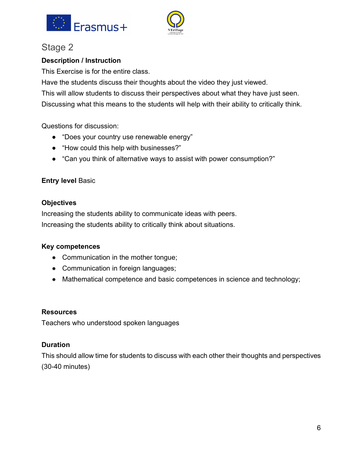



### **Description / Instruction**

This Exercise is for the entire class.

Have the students discuss their thoughts about the video they just viewed. This will allow students to discuss their perspectives about what they have just seen. Discussing what this means to the students will help with their ability to critically think.

Questions for discussion:

- "Does your country use renewable energy"
- "How could this help with businesses?"
- "Can you think of alternative ways to assist with power consumption?"

### **Entry level Basic**

### **Objectives**

Increasing the students ability to communicate ideas with peers. Increasing the students ability to critically think about situations.

### **Key competences**

- Communication in the mother tongue;
- Communication in foreign languages;
- Mathematical competence and basic competences in science and technology;

### **Resources**

Teachers who understood spoken languages

### **Duration**

This should allow time for students to discuss with each other their thoughts and perspectives (30-40 minutes)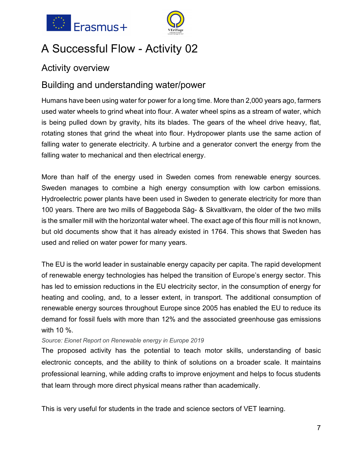



## A Successful Flow - Activity 02

### Activity overview

### Building and understanding water/power

Humans have been using water for power for a long time. More than 2,000 years ago, farmers used water wheels to grind wheat into flour. A water wheel spins as a stream of water, which is being pulled down by gravity, hits its blades. The gears of the wheel drive heavy, flat, rotating stones that grind the wheat into flour. Hydropower plants use the same action of falling water to generate electricity. A turbine and a generator convert the energy from the falling water to mechanical and then electrical energy.

More than half of the energy used in Sweden comes from renewable energy sources. Sweden manages to combine a high energy consumption with low carbon emissions. Hydroelectric power plants have been used in Sweden to generate electricity for more than 100 years. There are two mills of Baggeboda Såg- & Skvaltkvarn, the older of the two mills is the smaller mill with the horizontal water wheel. The exact age of this flour mill is not known, but old documents show that it has already existed in 1764. This shows that Sweden has used and relied on water power for many years.

The EU is the world leader in sustainable energy capacity per capita. The rapid development of renewable energy technologies has helped the transition of Europe's energy sector. This has led to emission reductions in the EU electricity sector, in the consumption of energy for heating and cooling, and, to a lesser extent, in transport. The additional consumption of renewable energy sources throughout Europe since 2005 has enabled the EU to reduce its demand for fossil fuels with more than 12% and the associated greenhouse gas emissions with 10 %.

### *Source: Eionet Report on Renewable energy in Europe 2019*

The proposed activity has the potential to teach motor skills, understanding of basic electronic concepts, and the ability to think of solutions on a broader scale. It maintains professional learning, while adding crafts to improve enjoyment and helps to focus students that learn through more direct physical means rather than academically.

This is very useful for students in the trade and science sectors of VET learning.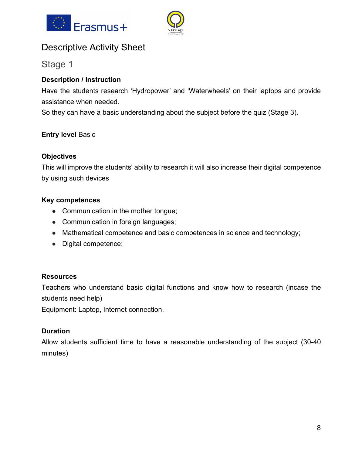



### Descriptive Activity Sheet

### Stage 1

### **Description / Instruction**

Have the students research 'Hydropower' and 'Waterwheels' on their laptops and provide assistance when needed.

So they can have a basic understanding about the subject before the quiz (Stage 3).

### **Entry level Basic**

### **Objectives**

This will improve the students' ability to research it will also increase their digital competence by using such devices

### **Key competences**

- Communication in the mother tongue;
- Communication in foreign languages;
- Mathematical competence and basic competences in science and technology;
- Digital competence;

### **Resources**

Teachers who understand basic digital functions and know how to research (incase the students need help)

Equipment: Laptop, Internet connection.

### **Duration**

Allow students sufficient time to have a reasonable understanding of the subject (30-40 minutes)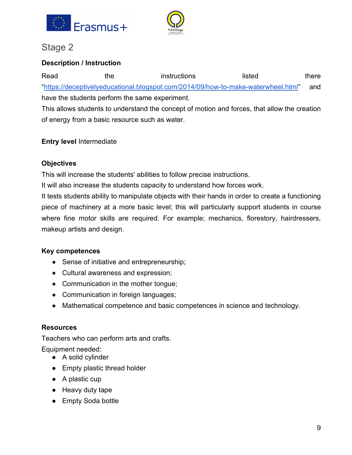



### **Description / Instruction**

Read the instructions listed there "https://deceptivelyeducational.blogspot.com/2014/09/how-to-make-waterwheel.html" and have the students perform the same experiment.

This allows students to understand the concept of motion and forces, that allow the creation of energy from a basic resource such as water.

### **Entry level** Intermediate

### **Objectives**

This will increase the students' abilities to follow precise instructions.

It will also increase the students capacity to understand how forces work.

It tests students ability to manipulate objects with their hands in order to create a functioning piece of machinery at a more basic level; this will particularly support students in course where fine motor skills are required. For example; mechanics, florestory, hairdressers, makeup artists and design.

### **Key competences**

- Sense of initiative and entrepreneurship;
- Cultural awareness and expression;
- Communication in the mother tongue;
- Communication in foreign languages;
- Mathematical competence and basic competences in science and technology.

### **Resources**

Teachers who can perform arts and crafts.

Equipment needed:

- A solid cylinder
- Empty plastic thread holder
- A plastic cup
- Heavy duty tape
- Empty Soda bottle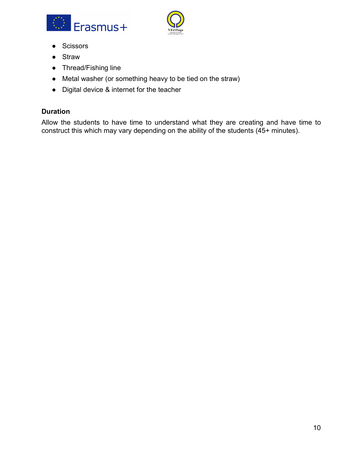



- Scissors
- Straw
- Thread/Fishing line
- Metal washer (or something heavy to be tied on the straw)
- Digital device & internet for the teacher

#### **Duration**

Allow the students to have time to understand what they are creating and have time to construct this which may vary depending on the ability of the students (45+ minutes).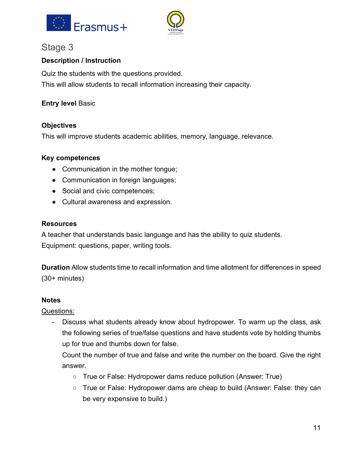



### **Description / Instruction**

Quiz the students with the questions provided. This will allow students to recall information increasing their capacity.

### **Entry level Basic**

### **Objectives**

This will improve students academic abilities, memory, language, relevance.

### **Key competences**

- Communication in the mother tongue;
- Communication in foreign languages;
- Social and civic competences;
- Cultural awareness and expression.

#### **Resources**

A teacher that understands basic language and has the ability to quiz students. Equipment: questions, paper, writing tools.

**Duration** Allow students time to recall information and time allotment for differences in speed (30+ minutes)

### **Notes**

Questions:

- Discuss what students already know about hydropower. To warm up the class, ask the following series of true/false questions and have students vote by holding thumbs up for true and thumbs down for false.

Count the number of true and false and write the number on the board. Give the right answer.

- True or False: Hydropower dams reduce pollution (Answer: True)
- True or False: Hydropower dams are cheap to build (Answer: False: they can be very expensive to build.)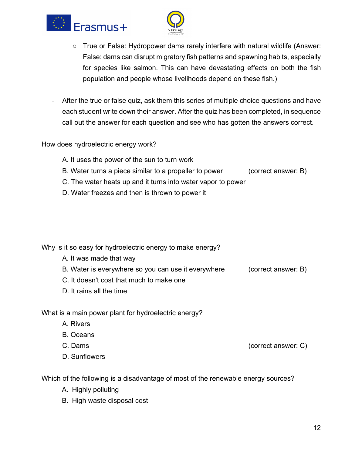



- True or False: Hydropower dams rarely interfere with natural wildlife (Answer: False: dams can disrupt migratory fish patterns and spawning habits, especially for species like salmon. This can have devastating effects on both the fish population and people whose livelihoods depend on these fish.)
- After the true or false quiz, ask them this series of multiple choice questions and have each student write down their answer. After the quiz has been completed, in sequence call out the answer for each question and see who has gotten the answers correct.

How does hydroelectric energy work?

- A. It uses the power of the sun to turn work
- B. Water turns a piece similar to a propeller to power (correct answer: B)
- C. The water heats up and it turns into water vapor to power
- D. Water freezes and then is thrown to power it

Why is it so easy for hydroelectric energy to make energy?

- A. It was made that way
- B. Water is everywhere so you can use it everywhere (correct answer: B)
- C. It doesn't cost that much to make one
- D. It rains all the time

What is a main power plant for hydroelectric energy?

- A. Rivers
- B. Oceans
- C. Dams (correct answer: C)

D. Sunflowers

Which of the following is a disadvantage of most of the renewable energy sources?

- A. Highly polluting
- B. High waste disposal cost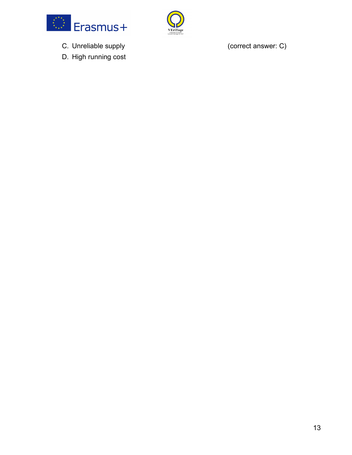

- C. Unreliable supply (correct answer: C)
- D. High running cost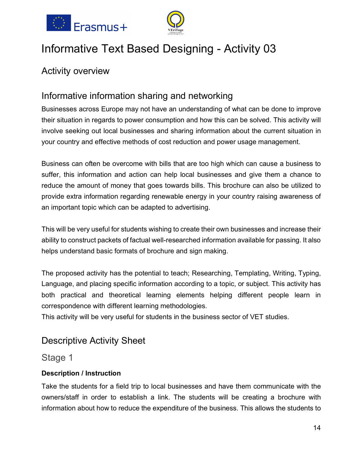



## Informative Text Based Designing - Activity 03

### Activity overview

### Informative information sharing and networking

Businesses across Europe may not have an understanding of what can be done to improve their situation in regards to power consumption and how this can be solved. This activity will involve seeking out local businesses and sharing information about the current situation in your country and effective methods of cost reduction and power usage management.

Business can often be overcome with bills that are too high which can cause a business to suffer, this information and action can help local businesses and give them a chance to reduce the amount of money that goes towards bills. This brochure can also be utilized to provide extra information regarding renewable energy in your country raising awareness of an important topic which can be adapted to advertising.

This will be very useful for students wishing to create their own businesses and increase their ability to construct packets of factual well-researched information available for passing. It also helps understand basic formats of brochure and sign making.

The proposed activity has the potential to teach; Researching, Templating, Writing, Typing, Language, and placing specific information according to a topic, or subject. This activity has both practical and theoretical learning elements helping different people learn in correspondence with different learning methodologies.

This activity will be very useful for students in the business sector of VET studies.

### Descriptive Activity Sheet

### Stage 1

### **Description / Instruction**

Take the students for a field trip to local businesses and have them communicate with the owners/staff in order to establish a link. The students will be creating a brochure with information about how to reduce the expenditure of the business. This allows the students to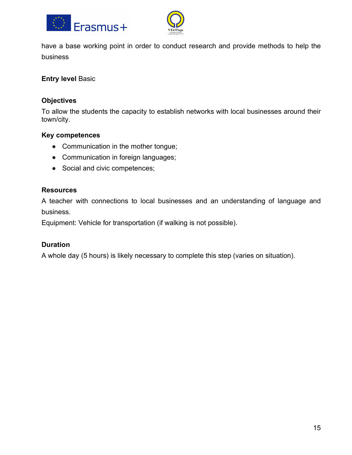



have a base working point in order to conduct research and provide methods to help the business

**Entry level Basic** 

### **Objectives**

To allow the students the capacity to establish networks with local businesses around their town/city.

#### **Key competences**

- Communication in the mother tongue;
- Communication in foreign languages;
- Social and civic competences;

#### **Resources**

A teacher with connections to local businesses and an understanding of language and business.

Equipment: Vehicle for transportation (if walking is not possible).

### **Duration**

A whole day (5 hours) is likely necessary to complete this step (varies on situation).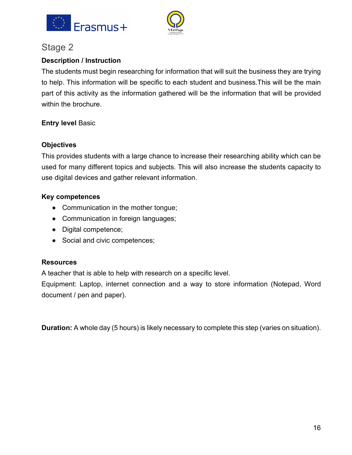



### **Description / Instruction**

The students must begin researching for information that will suit the business they are trying to help. This information will be specific to each student and business.This will be the main part of this activity as the information gathered will be the information that will be provided within the brochure.

### **Entry level Basic**

### **Objectives**

This provides students with a large chance to increase their researching ability which can be used for many different topics and subjects. This will also increase the students capacity to use digital devices and gather relevant information.

### **Key competences**

- Communication in the mother tongue;
- Communication in foreign languages;
- Digital competence;
- Social and civic competences;

### **Resources**

A teacher that is able to help with research on a specific level.

Equipment: Laptop, internet connection and a way to store information (Notepad, Word document / pen and paper).

**Duration:** A whole day (5 hours) is likely necessary to complete this step (varies on situation).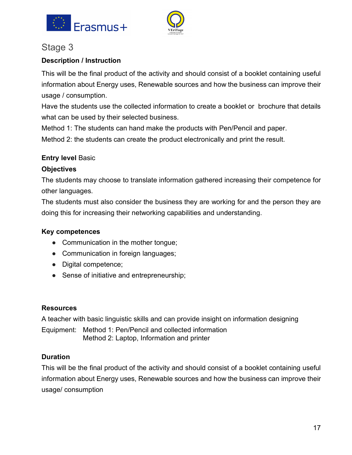



### **Description / Instruction**

This will be the final product of the activity and should consist of a booklet containing useful information about Energy uses, Renewable sources and how the business can improve their usage / consumption.

Have the students use the collected information to create a booklet or brochure that details what can be used by their selected business.

Method 1: The students can hand make the products with Pen/Pencil and paper.

Method 2: the students can create the product electronically and print the result.

### **Entry level Basic**

### **Objectives**

The students may choose to translate information gathered increasing their competence for other languages.

The students must also consider the business they are working for and the person they are doing this for increasing their networking capabilities and understanding.

### **Key competences**

- Communication in the mother tongue;
- Communication in foreign languages;
- Digital competence;
- Sense of initiative and entrepreneurship;

### **Resources**

A teacher with basic linguistic skills and can provide insight on information designing

Equipment: Method 1: Pen/Pencil and collected information Method 2: Laptop, Information and printer

### **Duration**

This will be the final product of the activity and should consist of a booklet containing useful information about Energy uses, Renewable sources and how the business can improve their usage/ consumption